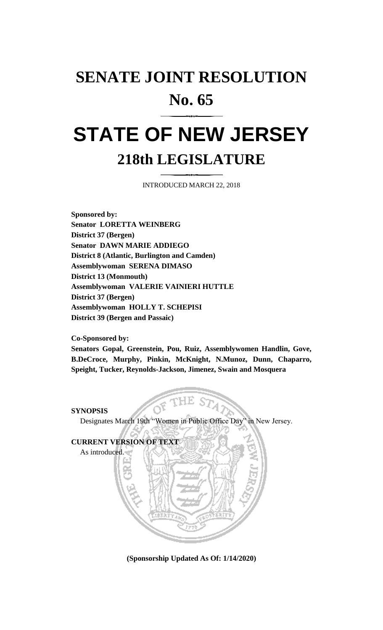## **SENATE JOINT RESOLUTION No. 65**

## **STATE OF NEW JERSEY 218th LEGISLATURE**

INTRODUCED MARCH 22, 2018

**Sponsored by: Senator LORETTA WEINBERG District 37 (Bergen) Senator DAWN MARIE ADDIEGO District 8 (Atlantic, Burlington and Camden) Assemblywoman SERENA DIMASO District 13 (Monmouth) Assemblywoman VALERIE VAINIERI HUTTLE District 37 (Bergen) Assemblywoman HOLLY T. SCHEPISI District 39 (Bergen and Passaic)**

**Co-Sponsored by:**

**Senators Gopal, Greenstein, Pou, Ruiz, Assemblywomen Handlin, Gove, B.DeCroce, Murphy, Pinkin, McKnight, N.Munoz, Dunn, Chaparro, Speight, Tucker, Reynolds-Jackson, Jimenez, Swain and Mosquera**

## **SYNOPSIS**

Designates March 19th "Women in Public Office Day" in New Jersey.



**(Sponsorship Updated As Of: 1/14/2020)**